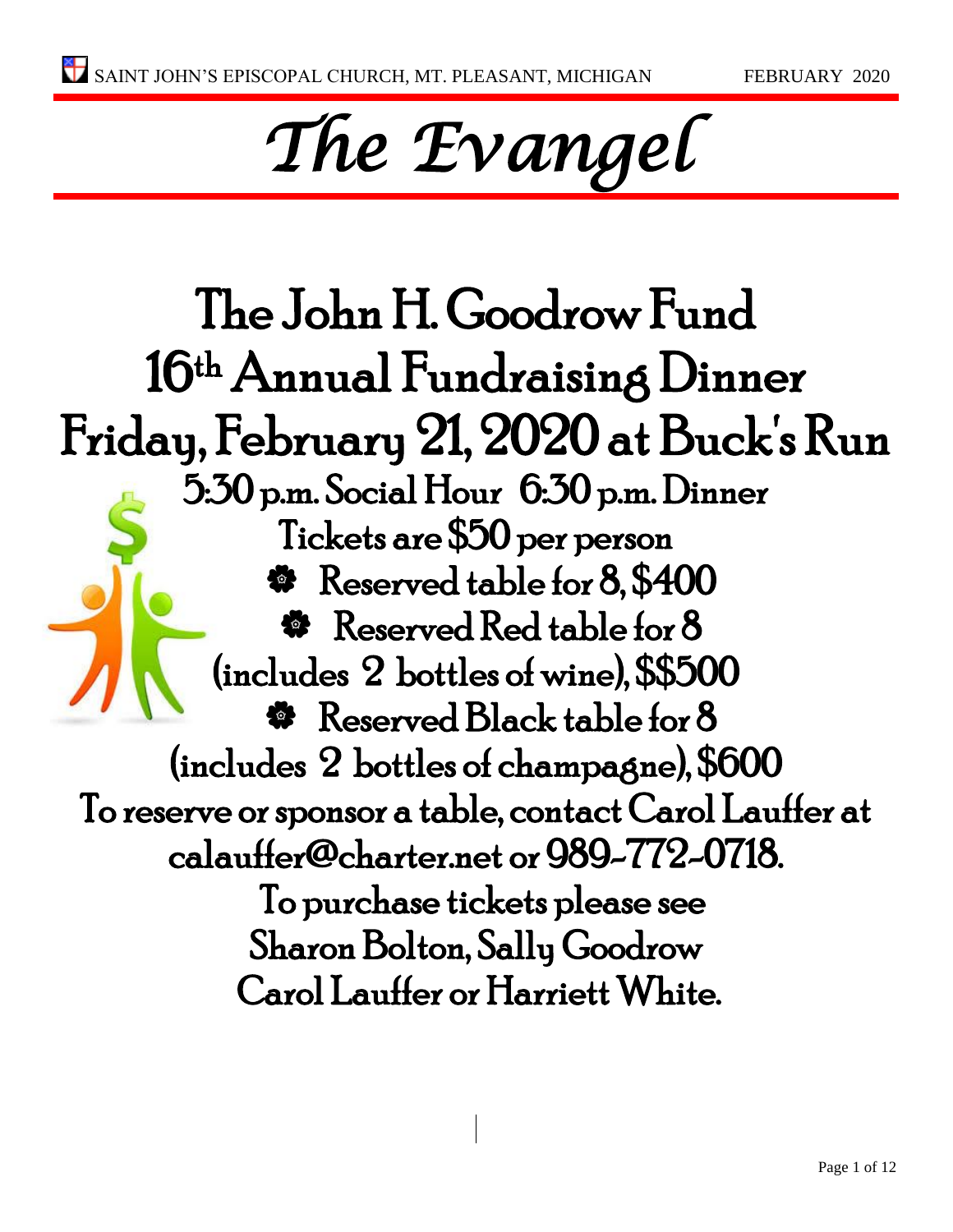# *The Evangel*

The John H. Goodrow Fund 16th Annual Fundraising Dinner Friday, February 21, 2020 at Buck's Run 5:30 p.m. Social Hour 6:30 p.m. Dinner Tickets are \$50 per person Reserved table for 8, \$400 **\*** Reserved Red table for 8 (includes 2 bottles of wine), \$\$500 **\*** Reserved Black table for 8 (includes 2 bottles of champagne), \$600 To reserve or sponsor a table, contact Carol Lauffer at calauffer@charter.net or 989-772-0718. To purchase tickets please see Sharon Bolton, Sally Goodrow Carol Lauffer or Harriett White.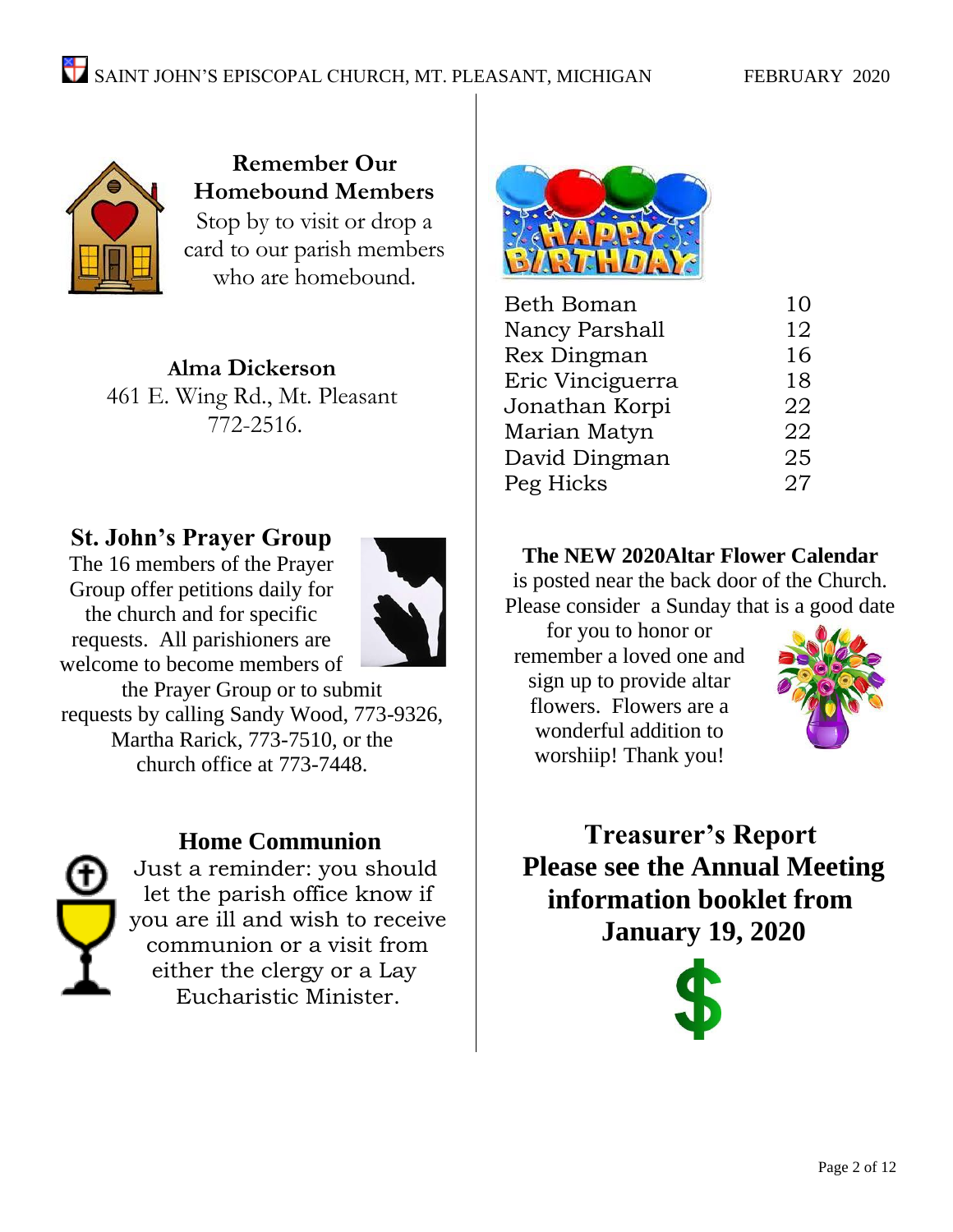

**Remember Our Homebound Members** Stop by to visit or drop a card to our parish members who are homebound.

**Alma Dickerson** 461 E. Wing Rd., Mt. Pleasant 772-2516.

#### **St. John's Prayer Group**

The 16 members of the Prayer Group offer petitions daily for the church and for specific requests. All parishioners are welcome to become members of



the Prayer Group or to submit requests by calling Sandy Wood, 773-9326, Martha Rarick, 773-7510, or the church office at 773-7448.

#### **Home Communion**



Just a reminder: you should let the parish office know if you are ill and wish to receive communion or a visit from either the clergy or a Lay Eucharistic Minister.



| <b>Beth Boman</b> | 10 |
|-------------------|----|
| Nancy Parshall    | 12 |
| Rex Dingman       | 16 |
| Eric Vinciguerra  | 18 |
| Jonathan Korpi    | 22 |
| Marian Matyn      | 22 |
| David Dingman     | 25 |
| Peg Hicks         | 27 |

#### **The NEW 2020Altar Flower Calendar**

is posted near the back door of the Church. Please consider a Sunday that is a good date

for you to honor or remember a loved one and sign up to provide altar flowers. Flowers are a wonderful addition to worshiip! Thank you!



**Treasurer's Report Please see the Annual Meeting information booklet from January 19, 2020** 

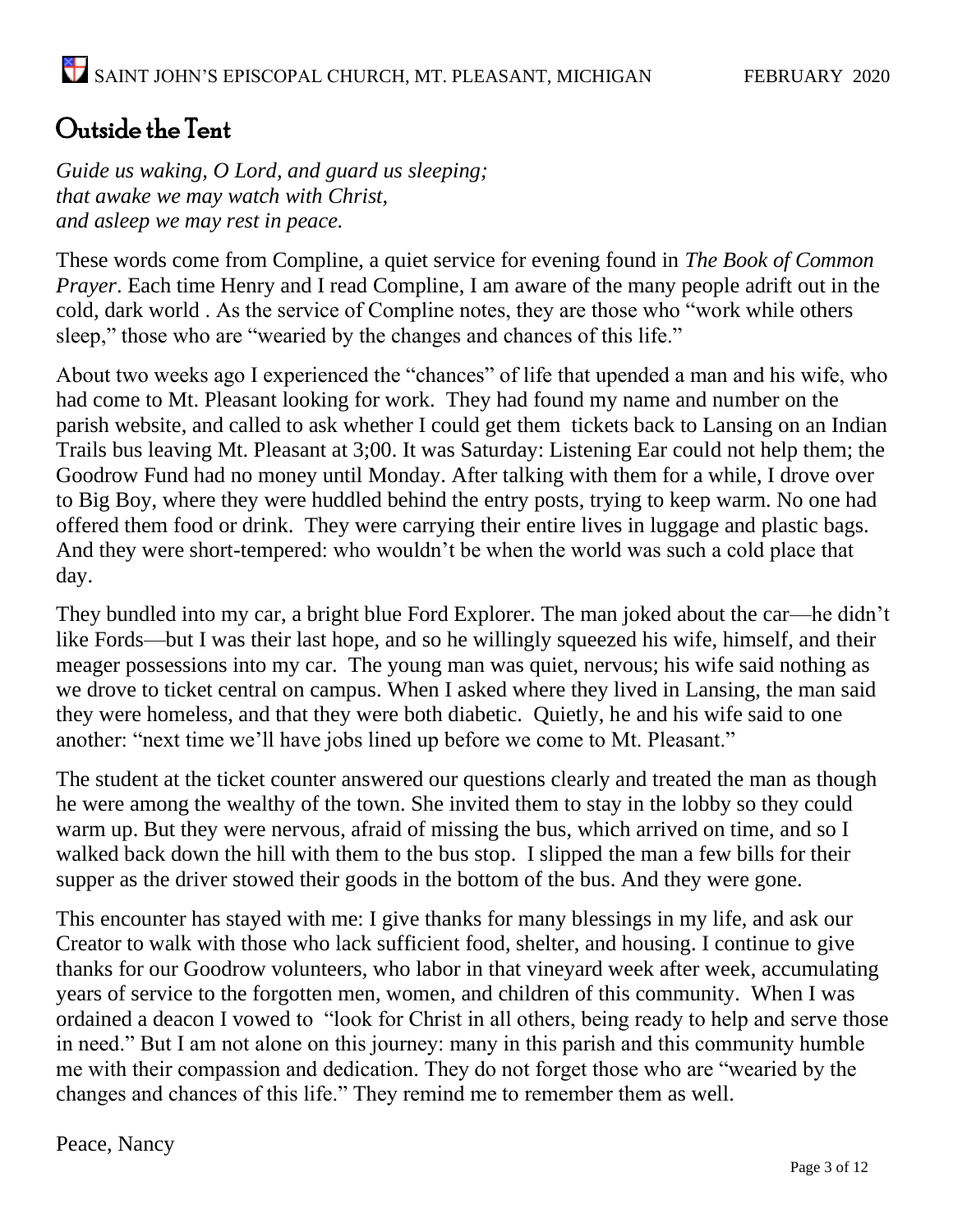#### Outside the Tent

*Guide us waking, O Lord, and guard us sleeping; that awake we may watch with Christ, and asleep we may rest in peace.*

These words come from Compline, a quiet service for evening found in *The Book of Common Prayer*. Each time Henry and I read Compline, I am aware of the many people adrift out in the cold, dark world . As the service of Compline notes, they are those who "work while others sleep," those who are "wearied by the changes and chances of this life."

About two weeks ago I experienced the "chances" of life that upended a man and his wife, who had come to Mt. Pleasant looking for work. They had found my name and number on the parish website, and called to ask whether I could get them tickets back to Lansing on an Indian Trails bus leaving Mt. Pleasant at 3;00. It was Saturday: Listening Ear could not help them; the Goodrow Fund had no money until Monday. After talking with them for a while, I drove over to Big Boy, where they were huddled behind the entry posts, trying to keep warm. No one had offered them food or drink. They were carrying their entire lives in luggage and plastic bags. And they were short-tempered: who wouldn't be when the world was such a cold place that day.

They bundled into my car, a bright blue Ford Explorer. The man joked about the car—he didn't like Fords—but I was their last hope, and so he willingly squeezed his wife, himself, and their meager possessions into my car. The young man was quiet, nervous; his wife said nothing as we drove to ticket central on campus. When I asked where they lived in Lansing, the man said they were homeless, and that they were both diabetic. Quietly, he and his wife said to one another: "next time we'll have jobs lined up before we come to Mt. Pleasant."

The student at the ticket counter answered our questions clearly and treated the man as though he were among the wealthy of the town. She invited them to stay in the lobby so they could warm up. But they were nervous, afraid of missing the bus, which arrived on time, and so I walked back down the hill with them to the bus stop. I slipped the man a few bills for their supper as the driver stowed their goods in the bottom of the bus. And they were gone.

This encounter has stayed with me: I give thanks for many blessings in my life, and ask our Creator to walk with those who lack sufficient food, shelter, and housing. I continue to give thanks for our Goodrow volunteers, who labor in that vineyard week after week, accumulating years of service to the forgotten men, women, and children of this community. When I was ordained a deacon I vowed to "look for Christ in all others, being ready to help and serve those in need." But I am not alone on this journey: many in this parish and this community humble me with their compassion and dedication. They do not forget those who are "wearied by the changes and chances of this life." They remind me to remember them as well.

Peace, Nancy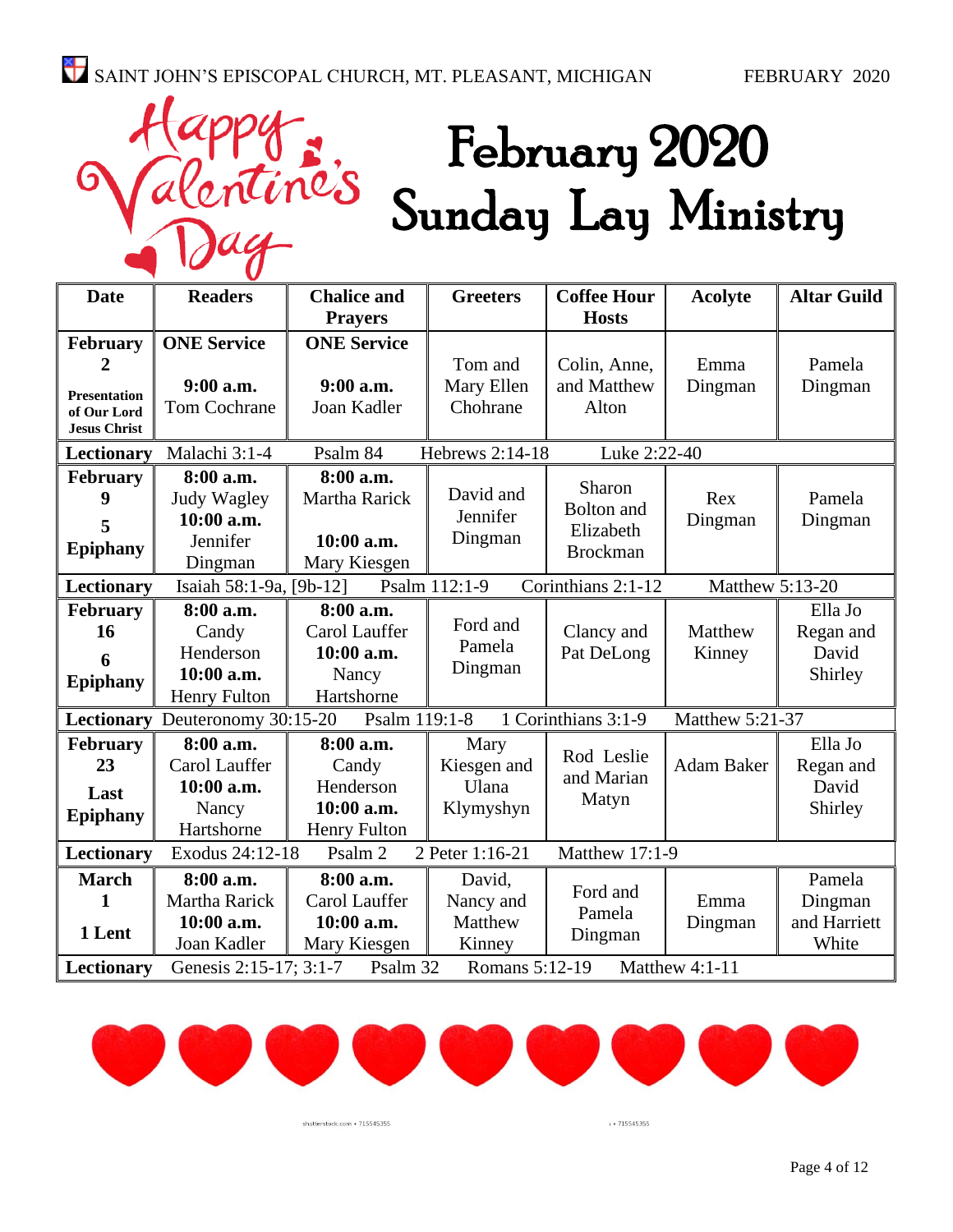ine's

## February 2020 Sunday Lay Ministry

| <b>Date</b>                                                                                     | <b>Readers</b>                                                                             | <b>Chalice and</b> | <b>Greeters</b> | <b>Coffee Hour</b>   | <b>Acolyte</b>    | <b>Altar Guild</b> |
|-------------------------------------------------------------------------------------------------|--------------------------------------------------------------------------------------------|--------------------|-----------------|----------------------|-------------------|--------------------|
|                                                                                                 |                                                                                            | <b>Prayers</b>     |                 | <b>Hosts</b>         |                   |                    |
| February                                                                                        | <b>ONE Service</b>                                                                         | <b>ONE Service</b> |                 |                      |                   |                    |
| $\overline{2}$                                                                                  |                                                                                            |                    | Tom and         | Colin, Anne,         | Emma              | Pamela             |
| <b>Presentation</b>                                                                             | $9:00$ a.m.                                                                                | $9:00$ a.m.        | Mary Ellen      | and Matthew          | Dingman           | Dingman            |
| of Our Lord                                                                                     | <b>Tom Cochrane</b>                                                                        | Joan Kadler        | Chohrane        | Alton                |                   |                    |
| <b>Jesus Christ</b>                                                                             |                                                                                            |                    |                 |                      |                   |                    |
| Lectionary                                                                                      | Hebrews 2:14-18<br>Luke 2:22-40<br>Malachi 3:1-4<br>Psalm 84                               |                    |                 |                      |                   |                    |
| <b>February</b>                                                                                 | 8:00 a.m.                                                                                  | 8:00 a.m.          |                 |                      |                   |                    |
| 9                                                                                               | Judy Wagley                                                                                | Martha Rarick      | David and       | Sharon<br>Bolton and | Rex               | Pamela             |
| 5                                                                                               | $10:00$ a.m.                                                                               |                    | Jennifer        | Elizabeth            | Dingman           | Dingman            |
| <b>Epiphany</b>                                                                                 | Jennifer                                                                                   | 10:00 a.m.         | Dingman         | <b>Brockman</b>      |                   |                    |
|                                                                                                 | Dingman                                                                                    | Mary Kiesgen       |                 |                      |                   |                    |
| Corinthians 2:1-12<br>Lectionary<br>Isaiah 58:1-9a, [9b-12]<br>Psalm 112:1-9<br>Matthew 5:13-20 |                                                                                            |                    |                 |                      |                   |                    |
| <b>February</b>                                                                                 | 8:00 a.m.                                                                                  | 8:00 a.m.          |                 |                      |                   | Ella Jo            |
| 16                                                                                              | Candy                                                                                      | Carol Lauffer      | Ford and        | Clancy and           | Matthew           | Regan and          |
| 6                                                                                               | Henderson                                                                                  | 10:00 a.m.         | Pamela          | Pat DeLong           | Kinney            | David              |
| <b>Epiphany</b>                                                                                 | 10:00 a.m.                                                                                 | Nancy              | Dingman         |                      |                   | Shirley            |
|                                                                                                 | <b>Henry Fulton</b>                                                                        | Hartshorne         |                 |                      |                   |                    |
|                                                                                                 | 1 Corinthians 3:1-9<br>Lectionary Deuteronomy 30:15-20<br>Psalm 119:1-8<br>Matthew 5:21-37 |                    |                 |                      |                   |                    |
| <b>February</b>                                                                                 | 8:00 a.m.                                                                                  | 8:00 a.m.          | Mary            |                      |                   | Ella Jo            |
| 23                                                                                              | Carol Lauffer                                                                              | Candy              | Kiesgen and     | Rod Leslie           | <b>Adam Baker</b> | Regan and          |
| Last                                                                                            | 10:00 a.m.                                                                                 | Henderson          | Ulana           | and Marian           |                   | David              |
| <b>Epiphany</b>                                                                                 | Nancy                                                                                      | 10:00 a.m.         | Klymyshyn       | Matyn                |                   | Shirley            |
|                                                                                                 | Hartshorne                                                                                 | Henry Fulton       |                 |                      |                   |                    |
| Lectionary                                                                                      | Matthew 17:1-9<br>Exodus 24:12-18<br>2 Peter 1:16-21<br>Psalm 2                            |                    |                 |                      |                   |                    |
| <b>March</b>                                                                                    | 8:00 a.m.                                                                                  | 8:00 a.m.          | David,          |                      |                   | Pamela             |
| 1                                                                                               | Martha Rarick                                                                              | Carol Lauffer      | Nancy and       | Ford and             | Emma              | Dingman            |
|                                                                                                 | 10:00 a.m.                                                                                 | 10:00 a.m.         | Matthew         | Pamela               | Dingman           | and Harriett       |
| 1 Lent                                                                                          | Joan Kadler                                                                                | Mary Kiesgen       | Kinney          | Dingman              |                   | White              |
| Lectionary                                                                                      | Genesis 2:15-17; 3:1-7<br>Romans 5:12-19<br>Matthew 4:1-11<br>Psalm 32                     |                    |                 |                      |                   |                    |



shutterstock.com · 715545355

 $+715545355$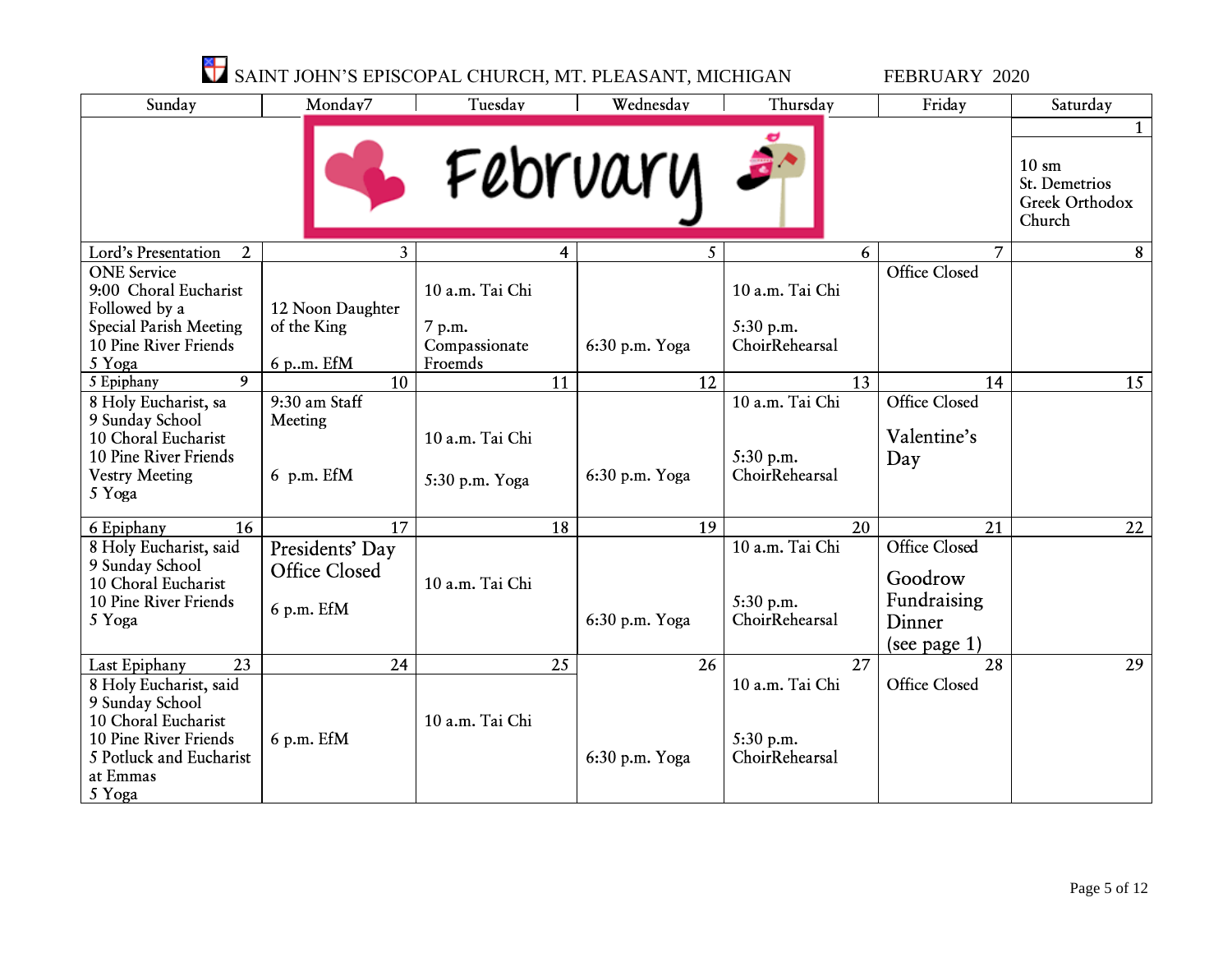| SAINT JOHN'S EPISCOPAL CHURCH, MT. PLEASANT, MICHIGAN                                                                                      |                                                |                                                       |                | FEBRUARY 2020                                  |                                                                             |                                                                           |
|--------------------------------------------------------------------------------------------------------------------------------------------|------------------------------------------------|-------------------------------------------------------|----------------|------------------------------------------------|-----------------------------------------------------------------------------|---------------------------------------------------------------------------|
| Sunday                                                                                                                                     | Monday7                                        | Tuesday                                               | Wednesday      | Thursday                                       | Friday                                                                      | Saturday                                                                  |
|                                                                                                                                            |                                                | February                                              |                |                                                |                                                                             | 1<br>$10 \text{ } \text{sm}$<br>St. Demetrios<br>Greek Orthodox<br>Church |
| Lord's Presentation<br>$\overline{2}$                                                                                                      | $\overline{3}$                                 | 4                                                     | 5              | 6                                              | $\overline{7}$                                                              | 8                                                                         |
| <b>ONE</b> Service<br>9:00 Choral Eucharist<br>Followed by a<br><b>Special Parish Meeting</b><br>10 Pine River Friends<br>5 Yoga           | 12 Noon Daughter<br>of the King<br>6 p.m. EfM  | 10 a.m. Tai Chi<br>7 p.m.<br>Compassionate<br>Froemds | 6:30 p.m. Yoga | 10 a.m. Tai Chi<br>5:30 p.m.<br>ChoirRehearsal | Office Closed                                                               |                                                                           |
| 9<br>5 Epiphany                                                                                                                            | 10                                             | 11                                                    | 12             | 13                                             | 14                                                                          | 15                                                                        |
| 8 Holy Eucharist, sa<br>9 Sunday School<br>10 Choral Eucharist<br>10 Pine River Friends<br><b>Vestry Meeting</b><br>5 Yoga                 | 9:30 am Staff<br>Meeting<br>$6$ p.m. EfM       | 10 a.m. Tai Chi<br>5:30 p.m. Yoga                     | 6:30 p.m. Yoga | 10 a.m. Tai Chi<br>5:30 p.m.<br>ChoirRehearsal | Office Closed<br>Valentine's<br>Day                                         |                                                                           |
| 6 Epiphany<br>16                                                                                                                           | 17                                             | 18                                                    | 19             | 20                                             | 21                                                                          | 22                                                                        |
| 8 Holy Eucharist, said<br>9 Sunday School<br>10 Choral Eucharist<br>10 Pine River Friends<br>5 Yoga                                        | Presidents' Day<br>Office Closed<br>6 p.m. EfM | 10 a.m. Tai Chi                                       | 6:30 p.m. Yoga | 10 a.m. Tai Chi<br>5:30 p.m.<br>ChoirRehearsal | <b>Office Closed</b><br>Goodrow<br>Fundraising<br>Dinner<br>(see page $1$ ) |                                                                           |
| 23<br>Last Epiphany                                                                                                                        | 24                                             | 25                                                    | 26             | $\overline{27}$                                | $\overline{28}$                                                             | 29                                                                        |
| 8 Holy Eucharist, said<br>9 Sunday School<br>10 Choral Eucharist<br>10 Pine River Friends<br>5 Potluck and Eucharist<br>at Emmas<br>5 Yoga | 6 p.m. EfM                                     | 10 a.m. Tai Chi                                       | 6:30 p.m. Yoga | 10 a.m. Tai Chi<br>5:30 p.m.<br>ChoirRehearsal | Office Closed                                                               |                                                                           |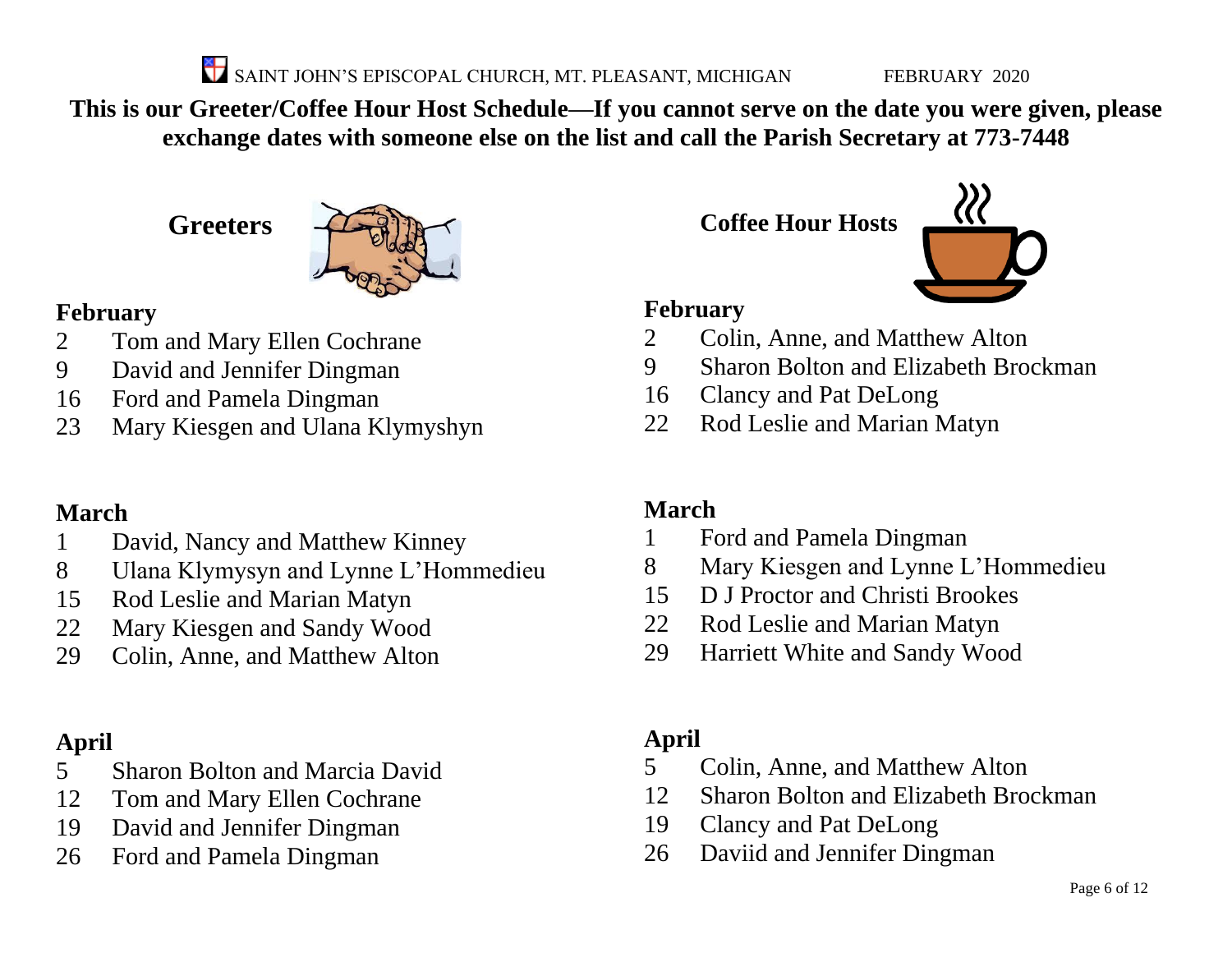SAINT JOHN'S EPISCOPAL CHURCH, MT. PLEASANT, MICHIGAN FEBRUARY 2020

**This is our Greeter/Coffee Hour Host Schedule—If you cannot serve on the date you were given, please exchange dates with someone else on the list and call the Parish Secretary at 773-7448**

**Greeters**



#### **February**

- Tom and Mary Ellen Cochrane
- David and Jennifer Dingman
- Ford and Pamela Dingman
- Mary Kiesgen and Ulana Klymyshyn

#### **March**

- David, Nancy and Matthew Kinney
- Ulana Klymysyn and Lynne L'Hommedieu
- Rod Leslie and Marian Matyn
- Mary Kiesgen and Sandy Wood
- Colin, Anne, and Matthew Alton

### **April**

- Sharon Bolton and Marcia David
- Tom and Mary Ellen Cochrane
- David and Jennifer Dingman
- Ford and Pamela Dingman

**Coffee Hour Hosts**



#### **February**

- Colin, Anne, and Matthew Alton
- Sharon Bolton and Elizabeth Brockman
- Clancy and Pat DeLong
- Rod Leslie and Marian Matyn

#### **March**

- Ford and Pamela Dingman
- Mary Kiesgen and Lynne L'Hommedieu
- D J Proctor and Christi Brookes
- Rod Leslie and Marian Matyn
- Harriett White and Sandy Wood

#### **April**

- Colin, Anne, and Matthew Alton
- Sharon Bolton and Elizabeth Brockman
- Clancy and Pat DeLong
- Daviid and Jennifer Dingman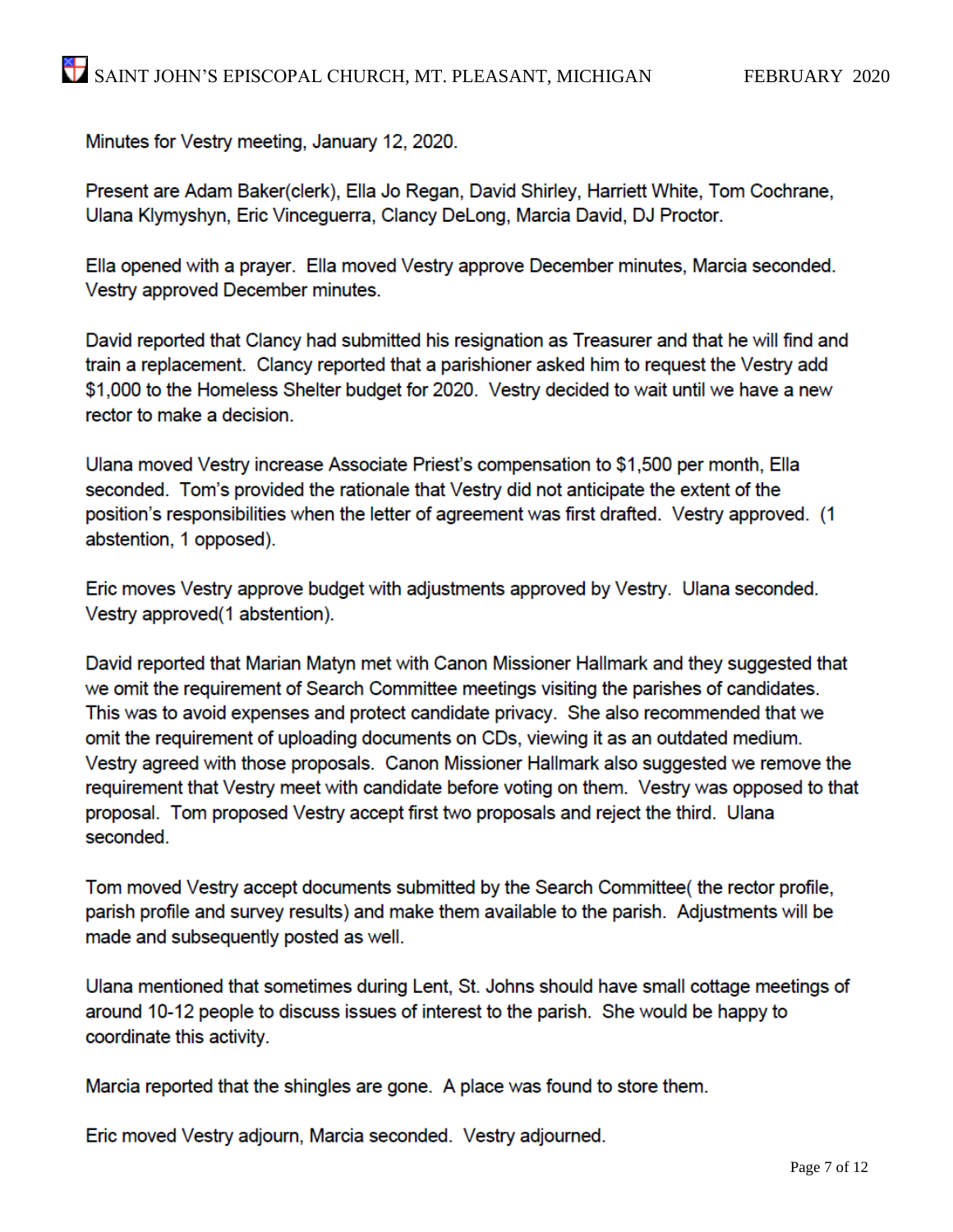Minutes for Vestry meeting, January 12, 2020.

Present are Adam Baker(clerk), Ella Jo Regan, David Shirley, Harriett White, Tom Cochrane, Ulana Klymyshyn, Eric Vinceguerra, Clancy DeLong, Marcia David, DJ Proctor.

Ella opened with a prayer. Ella moved Vestry approve December minutes, Marcia seconded. Vestry approved December minutes.

David reported that Clancy had submitted his resignation as Treasurer and that he will find and train a replacement. Clancy reported that a parishioner asked him to request the Vestry add \$1,000 to the Homeless Shelter budget for 2020. Vestry decided to wait until we have a new rector to make a decision.

Ulana moved Vestry increase Associate Priest's compensation to \$1,500 per month, Ella seconded. Tom's provided the rationale that Vestry did not anticipate the extent of the position's responsibilities when the letter of agreement was first drafted. Vestry approved. (1 abstention, 1 opposed).

Eric moves Vestry approve budget with adjustments approved by Vestry. Ulana seconded. Vestry approved(1 abstention).

David reported that Marian Matyn met with Canon Missioner Hallmark and they suggested that we omit the requirement of Search Committee meetings visiting the parishes of candidates. This was to avoid expenses and protect candidate privacy. She also recommended that we omit the requirement of uploading documents on CDs, viewing it as an outdated medium. Vestry agreed with those proposals. Canon Missioner Hallmark also suggested we remove the requirement that Vestry meet with candidate before voting on them. Vestry was opposed to that proposal. Tom proposed Vestry accept first two proposals and reject the third. Ulana seconded.

Tom moved Vestry accept documents submitted by the Search Committee (the rector profile, parish profile and survey results) and make them available to the parish. Adjustments will be made and subsequently posted as well.

Ulana mentioned that sometimes during Lent, St. Johns should have small cottage meetings of around 10-12 people to discuss issues of interest to the parish. She would be happy to coordinate this activity.

Marcia reported that the shingles are gone. A place was found to store them.

Eric moved Vestry adjourn, Marcia seconded. Vestry adjourned.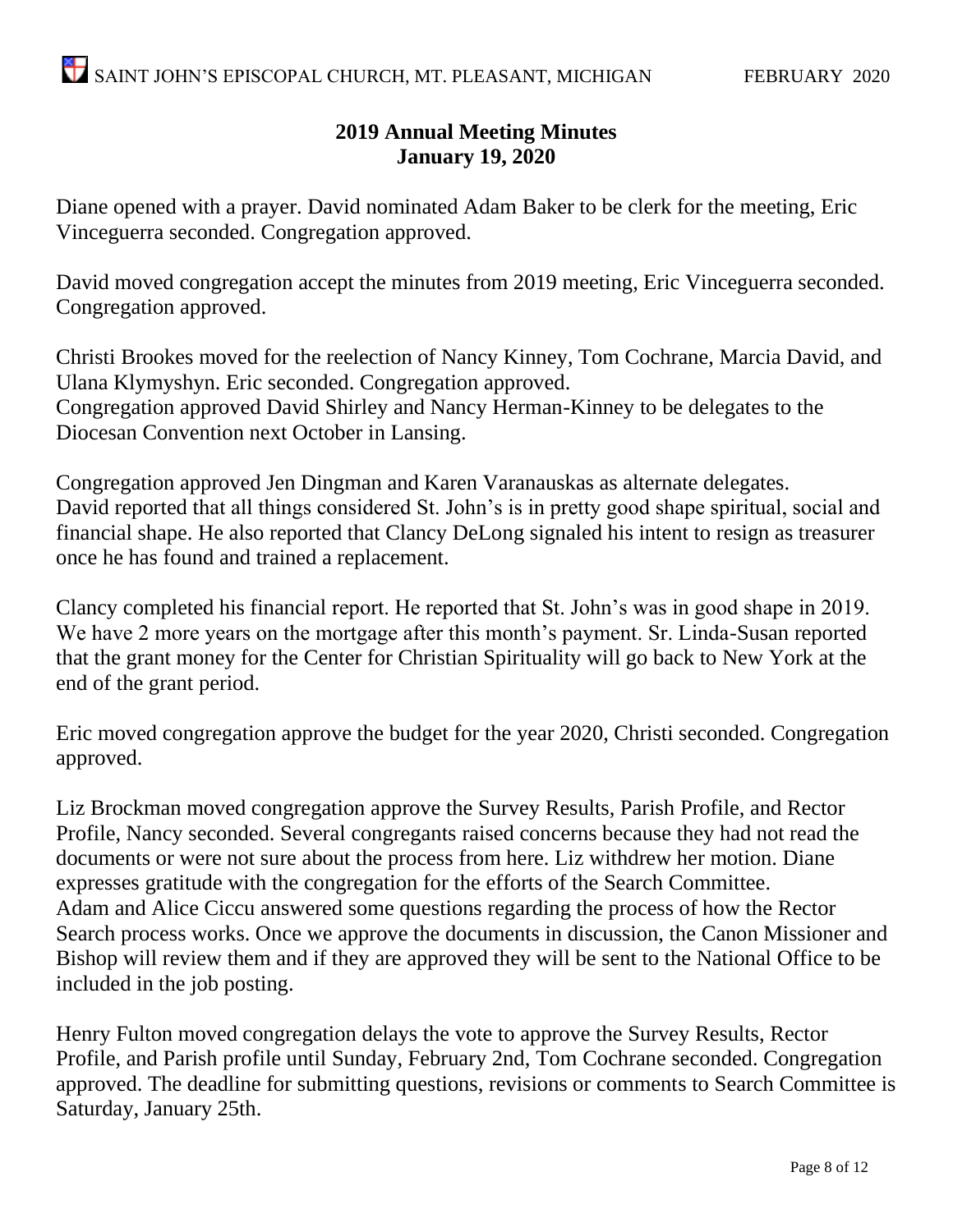#### **2019 Annual Meeting Minutes January 19, 2020**

Diane opened with a prayer. David nominated Adam Baker to be clerk for the meeting, Eric Vinceguerra seconded. Congregation approved.

David moved congregation accept the minutes from 2019 meeting, Eric Vinceguerra seconded. Congregation approved.

Christi Brookes moved for the reelection of Nancy Kinney, Tom Cochrane, Marcia David, and Ulana Klymyshyn. Eric seconded. Congregation approved. Congregation approved David Shirley and Nancy Herman-Kinney to be delegates to the Diocesan Convention next October in Lansing.

Congregation approved Jen Dingman and Karen Varanauskas as alternate delegates. David reported that all things considered St. John's is in pretty good shape spiritual, social and financial shape. He also reported that Clancy DeLong signaled his intent to resign as treasurer once he has found and trained a replacement.

Clancy completed his financial report. He reported that St. John's was in good shape in 2019. We have 2 more years on the mortgage after this month's payment. Sr. Linda-Susan reported that the grant money for the Center for Christian Spirituality will go back to New York at the end of the grant period.

Eric moved congregation approve the budget for the year 2020, Christi seconded. Congregation approved.

Liz Brockman moved congregation approve the Survey Results, Parish Profile, and Rector Profile, Nancy seconded. Several congregants raised concerns because they had not read the documents or were not sure about the process from here. Liz withdrew her motion. Diane expresses gratitude with the congregation for the efforts of the Search Committee. Adam and Alice Ciccu answered some questions regarding the process of how the Rector Search process works. Once we approve the documents in discussion, the Canon Missioner and Bishop will review them and if they are approved they will be sent to the National Office to be included in the job posting.

Henry Fulton moved congregation delays the vote to approve the Survey Results, Rector Profile, and Parish profile until Sunday, February 2nd, Tom Cochrane seconded. Congregation approved. The deadline for submitting questions, revisions or comments to Search Committee is Saturday, January 25th.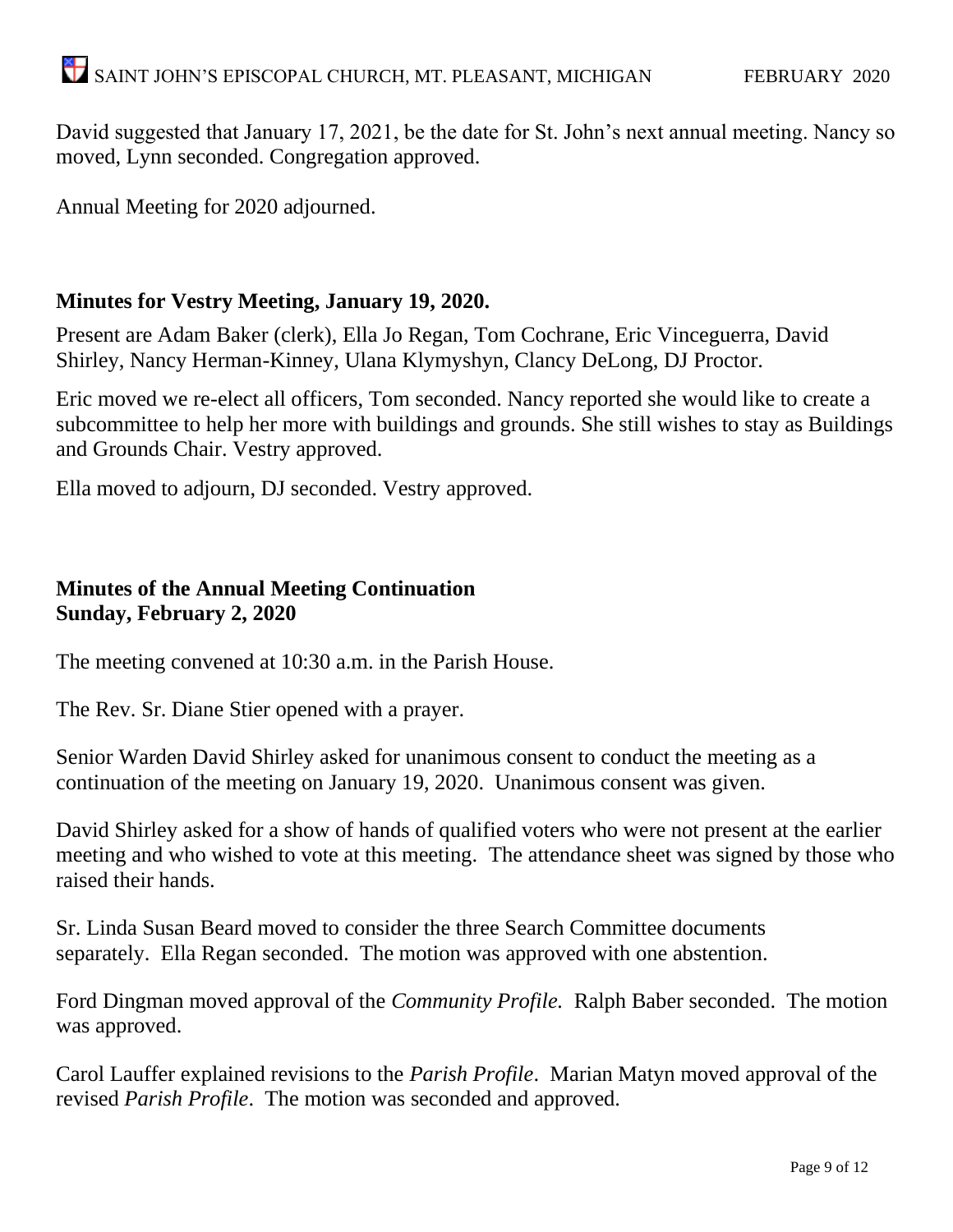David suggested that January 17, 2021, be the date for St. John's next annual meeting. Nancy so moved, Lynn seconded. Congregation approved.

Annual Meeting for 2020 adjourned.

#### **Minutes for Vestry Meeting, January 19, 2020.**

Present are Adam Baker (clerk), Ella Jo Regan, Tom Cochrane, Eric Vinceguerra, David Shirley, Nancy Herman-Kinney, Ulana Klymyshyn, Clancy DeLong, DJ Proctor.

Eric moved we re-elect all officers, Tom seconded. Nancy reported she would like to create a subcommittee to help her more with buildings and grounds. She still wishes to stay as Buildings and Grounds Chair. Vestry approved.

Ella moved to adjourn, DJ seconded. Vestry approved.

#### **Minutes of the Annual Meeting Continuation Sunday, February 2, 2020**

The meeting convened at 10:30 a.m. in the Parish House.

The Rev. Sr. Diane Stier opened with a prayer.

Senior Warden David Shirley asked for unanimous consent to conduct the meeting as a continuation of the meeting on January 19, 2020. Unanimous consent was given.

David Shirley asked for a show of hands of qualified voters who were not present at the earlier meeting and who wished to vote at this meeting. The attendance sheet was signed by those who raised their hands.

Sr. Linda Susan Beard moved to consider the three Search Committee documents separately. Ella Regan seconded. The motion was approved with one abstention.

Ford Dingman moved approval of the *Community Profile.* Ralph Baber seconded. The motion was approved.

Carol Lauffer explained revisions to the *Parish Profile*. Marian Matyn moved approval of the revised *Parish Profile*. The motion was seconded and approved.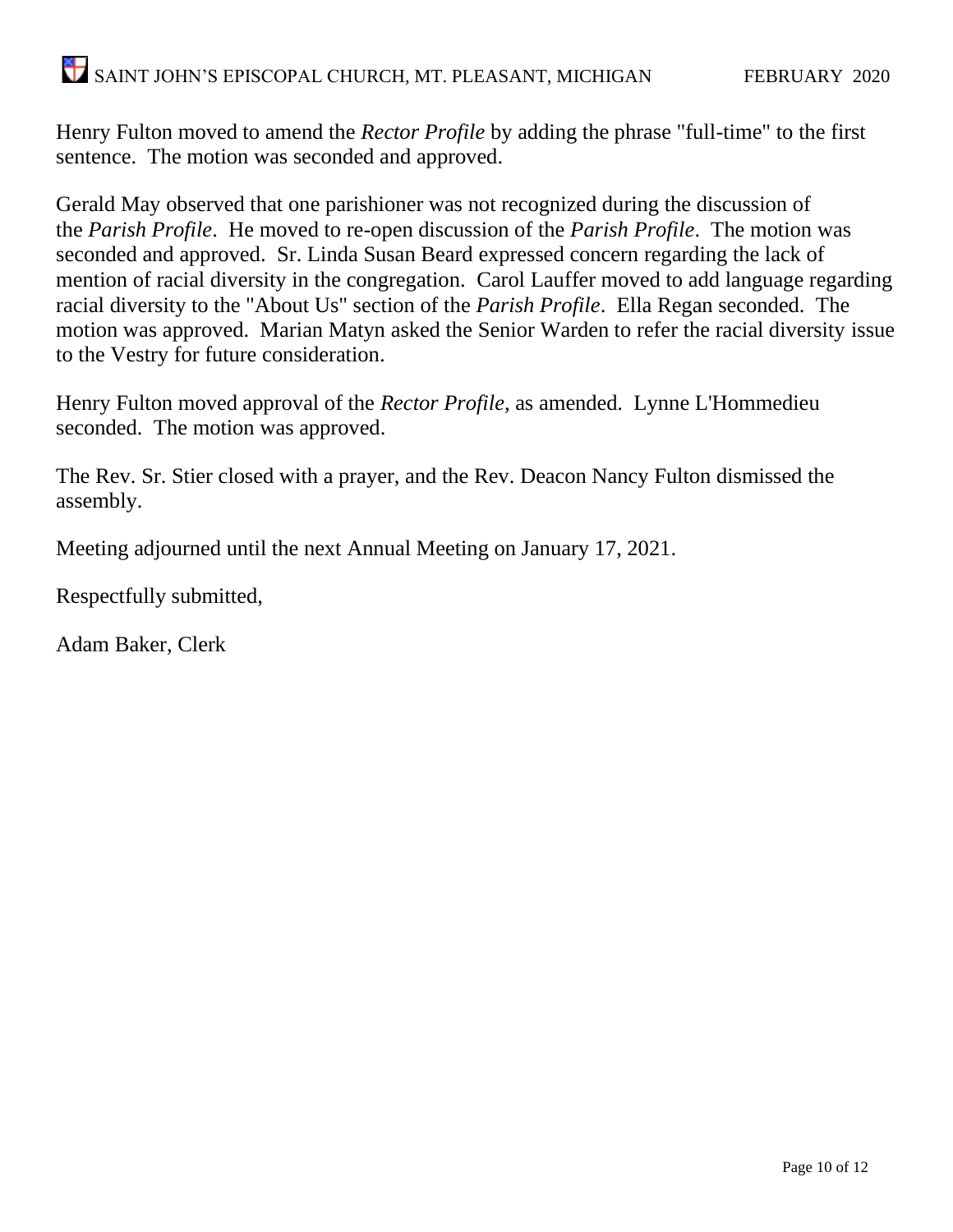## SAINT JOHN'S EPISCOPAL CHURCH, MT. PLEASANT, MICHIGAN FEBRUARY 2020

Henry Fulton moved to amend the *Rector Profile* by adding the phrase "full-time" to the first sentence. The motion was seconded and approved.

Gerald May observed that one parishioner was not recognized during the discussion of the *Parish Profile*. He moved to re-open discussion of the *Parish Profile*. The motion was seconded and approved. Sr. Linda Susan Beard expressed concern regarding the lack of mention of racial diversity in the congregation. Carol Lauffer moved to add language regarding racial diversity to the "About Us" section of the *Parish Profile*. Ella Regan seconded. The motion was approved. Marian Matyn asked the Senior Warden to refer the racial diversity issue to the Vestry for future consideration.

Henry Fulton moved approval of the *Rector Profile,* as amended. Lynne L'Hommedieu seconded. The motion was approved.

The Rev. Sr. Stier closed with a prayer, and the Rev. Deacon Nancy Fulton dismissed the assembly.

Meeting adjourned until the next Annual Meeting on January 17, 2021.

Respectfully submitted,

Adam Baker, Clerk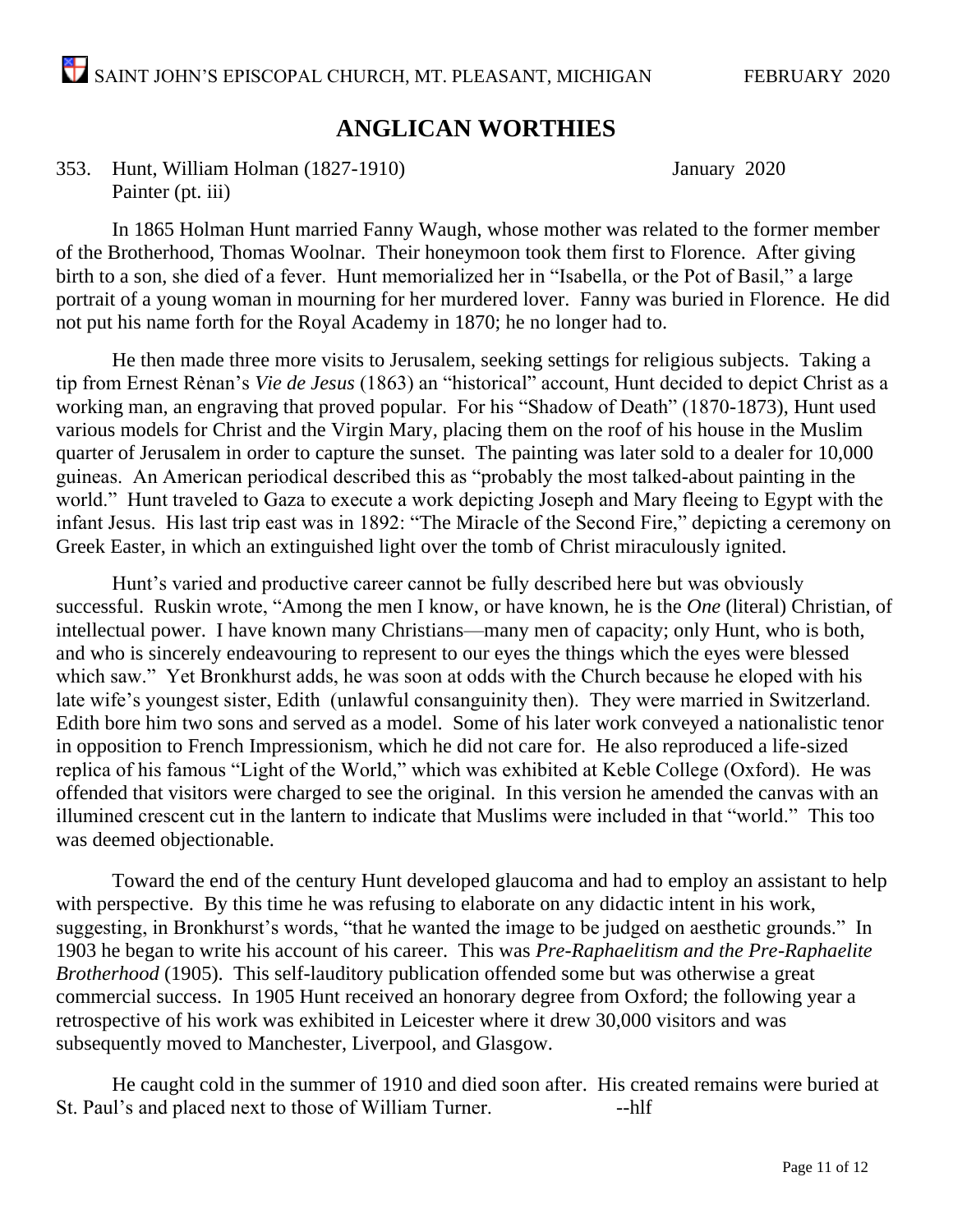#### **ANGLICAN WORTHIES**

353. Hunt, William Holman (1827-1910) January 2020 Painter (pt. iii)

In 1865 Holman Hunt married Fanny Waugh, whose mother was related to the former member of the Brotherhood, Thomas Woolnar. Their honeymoon took them first to Florence. After giving birth to a son, she died of a fever. Hunt memorialized her in "Isabella, or the Pot of Basil," a large portrait of a young woman in mourning for her murdered lover. Fanny was buried in Florence. He did not put his name forth for the Royal Academy in 1870; he no longer had to.

He then made three more visits to Jerusalem, seeking settings for religious subjects. Taking a tip from Ernest Rėnan's *Vie de Jesus* (1863) an "historical" account, Hunt decided to depict Christ as a working man, an engraving that proved popular. For his "Shadow of Death" (1870-1873), Hunt used various models for Christ and the Virgin Mary, placing them on the roof of his house in the Muslim quarter of Jerusalem in order to capture the sunset. The painting was later sold to a dealer for 10,000 guineas. An American periodical described this as "probably the most talked-about painting in the world." Hunt traveled to Gaza to execute a work depicting Joseph and Mary fleeing to Egypt with the infant Jesus. His last trip east was in 1892: "The Miracle of the Second Fire," depicting a ceremony on Greek Easter, in which an extinguished light over the tomb of Christ miraculously ignited.

Hunt's varied and productive career cannot be fully described here but was obviously successful. Ruskin wrote, "Among the men I know, or have known, he is the *One* (literal) Christian, of intellectual power. I have known many Christians—many men of capacity; only Hunt, who is both, and who is sincerely endeavouring to represent to our eyes the things which the eyes were blessed which saw." Yet Bronkhurst adds, he was soon at odds with the Church because he eloped with his late wife's youngest sister, Edith (unlawful consanguinity then). They were married in Switzerland. Edith bore him two sons and served as a model. Some of his later work conveyed a nationalistic tenor in opposition to French Impressionism, which he did not care for. He also reproduced a life-sized replica of his famous "Light of the World," which was exhibited at Keble College (Oxford). He was offended that visitors were charged to see the original. In this version he amended the canvas with an illumined crescent cut in the lantern to indicate that Muslims were included in that "world." This too was deemed objectionable.

Toward the end of the century Hunt developed glaucoma and had to employ an assistant to help with perspective. By this time he was refusing to elaborate on any didactic intent in his work, suggesting, in Bronkhurst's words, "that he wanted the image to be judged on aesthetic grounds." In 1903 he began to write his account of his career. This was *Pre-Raphaelitism and the Pre-Raphaelite Brotherhood* (1905). This self-lauditory publication offended some but was otherwise a great commercial success. In 1905 Hunt received an honorary degree from Oxford; the following year a retrospective of his work was exhibited in Leicester where it drew 30,000 visitors and was subsequently moved to Manchester, Liverpool, and Glasgow.

He caught cold in the summer of 1910 and died soon after. His created remains were buried at St. Paul's and placed next to those of William Turner. --------------------------